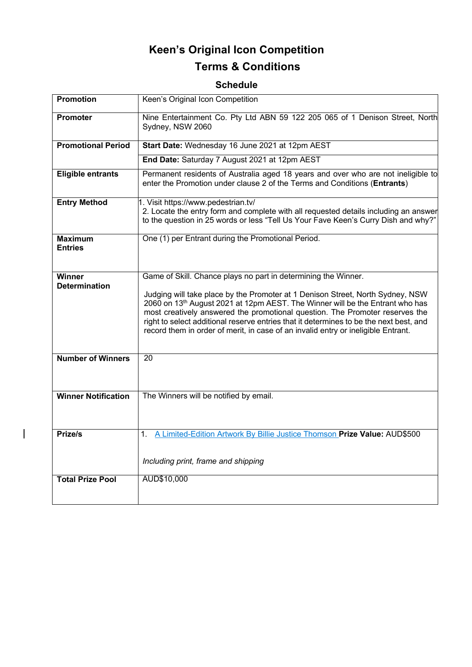# **Keen's Original Icon Competition Terms & Conditions**

# **Schedule**

| <b>Promotion</b>                      | Keen's Original Icon Competition                                                                                                                                                                                                                                                                                                                                                                                                           |
|---------------------------------------|--------------------------------------------------------------------------------------------------------------------------------------------------------------------------------------------------------------------------------------------------------------------------------------------------------------------------------------------------------------------------------------------------------------------------------------------|
| <b>Promoter</b>                       | Nine Entertainment Co. Pty Ltd ABN 59 122 205 065 of 1 Denison Street, North<br>Sydney, NSW 2060                                                                                                                                                                                                                                                                                                                                           |
| <b>Promotional Period</b>             | Start Date: Wednesday 16 June 2021 at 12pm AEST                                                                                                                                                                                                                                                                                                                                                                                            |
|                                       | End Date: Saturday 7 August 2021 at 12pm AEST                                                                                                                                                                                                                                                                                                                                                                                              |
| <b>Eligible entrants</b>              | Permanent residents of Australia aged 18 years and over who are not ineligible to<br>enter the Promotion under clause 2 of the Terms and Conditions (Entrants)                                                                                                                                                                                                                                                                             |
| <b>Entry Method</b>                   | 1. Visit https://www.pedestrian.tv/<br>2. Locate the entry form and complete with all requested details including an answer<br>to the question in 25 words or less "Tell Us Your Fave Keen's Curry Dish and why?"                                                                                                                                                                                                                          |
| <b>Maximum</b><br><b>Entries</b>      | One (1) per Entrant during the Promotional Period.                                                                                                                                                                                                                                                                                                                                                                                         |
| <b>Winner</b><br><b>Determination</b> | Game of Skill. Chance plays no part in determining the Winner.                                                                                                                                                                                                                                                                                                                                                                             |
|                                       | Judging will take place by the Promoter at 1 Denison Street, North Sydney, NSW<br>2060 on 13 <sup>th</sup> August 2021 at 12pm AEST. The Winner will be the Entrant who has<br>most creatively answered the promotional question. The Promoter reserves the<br>right to select additional reserve entries that it determines to be the next best, and<br>record them in order of merit, in case of an invalid entry or ineligible Entrant. |
| <b>Number of Winners</b>              | $\overline{20}$                                                                                                                                                                                                                                                                                                                                                                                                                            |
| <b>Winner Notification</b>            | The Winners will be notified by email.                                                                                                                                                                                                                                                                                                                                                                                                     |
| Prize/s                               | 1. A Limited-Edition Artwork By Billie Justice Thomson Prize Value: AUD\$500                                                                                                                                                                                                                                                                                                                                                               |
|                                       | Including print, frame and shipping                                                                                                                                                                                                                                                                                                                                                                                                        |
| <b>Total Prize Pool</b>               | AUD\$10,000                                                                                                                                                                                                                                                                                                                                                                                                                                |
|                                       |                                                                                                                                                                                                                                                                                                                                                                                                                                            |

 $\overline{\phantom{a}}$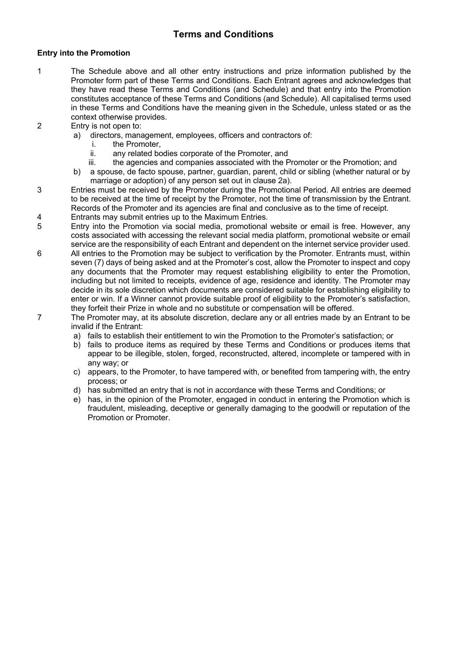# **Terms and Conditions**

## **Entry into the Promotion**

- 1 The Schedule above and all other entry instructions and prize information published by the Promoter form part of these Terms and Conditions. Each Entrant agrees and acknowledges that they have read these Terms and Conditions (and Schedule) and that entry into the Promotion constitutes acceptance of these Terms and Conditions (and Schedule). All capitalised terms used in these Terms and Conditions have the meaning given in the Schedule, unless stated or as the context otherwise provides.
- 2 Entry is not open to:
	- a) directors, management, employees, officers and contractors of:
		- i. the Promoter,
		- ii. any related bodies corporate of the Promoter, and
		- iii. the agencies and companies associated with the Promoter or the Promotion; and
	- b) a spouse, de facto spouse, partner, guardian, parent, child or sibling (whether natural or by marriage or adoption) of any person set out in clause 2a).
- 3 Entries must be received by the Promoter during the Promotional Period. All entries are deemed to be received at the time of receipt by the Promoter, not the time of transmission by the Entrant. Records of the Promoter and its agencies are final and conclusive as to the time of receipt.
- 4 Entrants may submit entries up to the Maximum Entries.
- 5 Entry into the Promotion via social media, promotional website or email is free. However, any costs associated with accessing the relevant social media platform, promotional website or email service are the responsibility of each Entrant and dependent on the internet service provider used.
- 6 All entries to the Promotion may be subject to verification by the Promoter. Entrants must, within seven (7) days of being asked and at the Promoter's cost, allow the Promoter to inspect and copy any documents that the Promoter may request establishing eligibility to enter the Promotion, including but not limited to receipts, evidence of age, residence and identity. The Promoter may decide in its sole discretion which documents are considered suitable for establishing eligibility to enter or win. If a Winner cannot provide suitable proof of eligibility to the Promoter's satisfaction, they forfeit their Prize in whole and no substitute or compensation will be offered.
- 7 The Promoter may, at its absolute discretion, declare any or all entries made by an Entrant to be invalid if the Entrant:
	- a) fails to establish their entitlement to win the Promotion to the Promoter's satisfaction; or
	- b) fails to produce items as required by these Terms and Conditions or produces items that appear to be illegible, stolen, forged, reconstructed, altered, incomplete or tampered with in any way; or
	- c) appears, to the Promoter, to have tampered with, or benefited from tampering with, the entry process; or
	- d) has submitted an entry that is not in accordance with these Terms and Conditions; or
	- e) has, in the opinion of the Promoter, engaged in conduct in entering the Promotion which is fraudulent, misleading, deceptive or generally damaging to the goodwill or reputation of the Promotion or Promoter.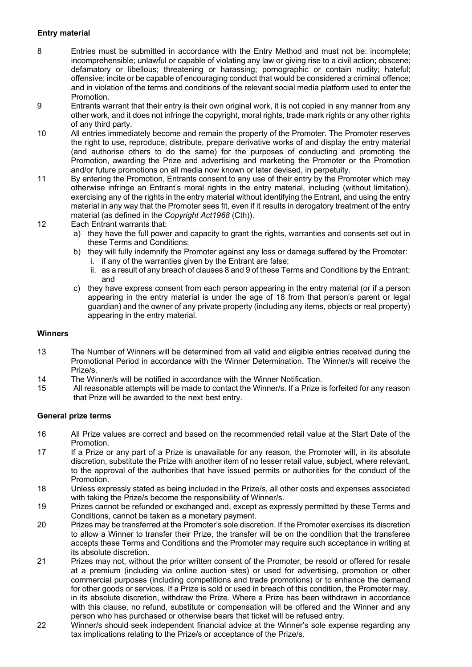# **Entry material**

- 8 Entries must be submitted in accordance with the Entry Method and must not be: incomplete; incomprehensible; unlawful or capable of violating any law or giving rise to a civil action; obscene; defamatory or libellous; threatening or harassing; pornographic or contain nudity; hateful; offensive; incite or be capable of encouraging conduct that would be considered a criminal offence; and in violation of the terms and conditions of the relevant social media platform used to enter the Promotion.
- 9 Entrants warrant that their entry is their own original work, it is not copied in any manner from any other work, and it does not infringe the copyright, moral rights, trade mark rights or any other rights of any third party.
- 10 All entries immediately become and remain the property of the Promoter. The Promoter reserves the right to use, reproduce, distribute, prepare derivative works of and display the entry material (and authorise others to do the same) for the purposes of conducting and promoting the Promotion, awarding the Prize and advertising and marketing the Promoter or the Promotion and/or future promotions on all media now known or later devised, in perpetuity.
- 11 By entering the Promotion, Entrants consent to any use of their entry by the Promoter which may otherwise infringe an Entrant's moral rights in the entry material, including (without limitation), exercising any of the rights in the entry material without identifying the Entrant, and using the entry material in any way that the Promoter sees fit, even if it results in derogatory treatment of the entry material (as defined in the *Copyright Act1968* (Cth)).
- 12 Each Entrant warrants that:
	- a) they have the full power and capacity to grant the rights, warranties and consents set out in these Terms and Conditions;
	- b) they will fully indemnify the Promoter against any loss or damage suffered by the Promoter: i. if any of the warranties given by the Entrant are false;
		- ii. as a result of any breach of clauses 8 and 9 of these Terms and Conditions by the Entrant; and
	- c) they have express consent from each person appearing in the entry material (or if a person appearing in the entry material is under the age of 18 from that person's parent or legal guardian) and the owner of any private property (including any items, objects or real property) appearing in the entry material.

#### **Winners**

- 13 The Number of Winners will be determined from all valid and eligible entries received during the Promotional Period in accordance with the Winner Determination. The Winner/s will receive the Prize/s.
- 14 The Winner/s will be notified in accordance with the Winner Notification.
- 15 All reasonable attempts will be made to contact the Winner/s. If a Prize is forfeited for any reason that Prize will be awarded to the next best entry.

#### **General prize terms**

- 16 All Prize values are correct and based on the recommended retail value at the Start Date of the Promotion.
- 17 If a Prize or any part of a Prize is unavailable for any reason, the Promoter will, in its absolute discretion, substitute the Prize with another item of no lesser retail value, subject, where relevant, to the approval of the authorities that have issued permits or authorities for the conduct of the Promotion.
- 18 Unless expressly stated as being included in the Prize/s, all other costs and expenses associated with taking the Prize/s become the responsibility of Winner/s.
- 19 Prizes cannot be refunded or exchanged and, except as expressly permitted by these Terms and Conditions, cannot be taken as a monetary payment.
- 20 Prizes may be transferred at the Promoter's sole discretion. If the Promoter exercises its discretion to allow a Winner to transfer their Prize, the transfer will be on the condition that the transferee accepts these Terms and Conditions and the Promoter may require such acceptance in writing at its absolute discretion.
- 21 Prizes may not, without the prior written consent of the Promoter, be resold or offered for resale at a premium (including via online auction sites) or used for advertising, promotion or other commercial purposes (including competitions and trade promotions) or to enhance the demand for other goods or services. If a Prize is sold or used in breach of this condition, the Promoter may, in its absolute discretion, withdraw the Prize. Where a Prize has been withdrawn in accordance with this clause, no refund, substitute or compensation will be offered and the Winner and any person who has purchased or otherwise bears that ticket will be refused entry.
- 22 Winner/s should seek independent financial advice at the Winner's sole expense regarding any tax implications relating to the Prize/s or acceptance of the Prize/s.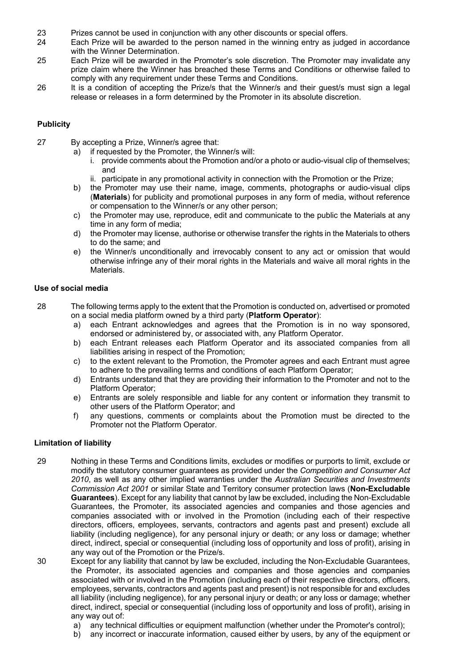- 23 Prizes cannot be used in conjunction with any other discounts or special offers.
- 24 Each Prize will be awarded to the person named in the winning entry as judged in accordance with the Winner Determination.
- 25 Each Prize will be awarded in the Promoter's sole discretion. The Promoter may invalidate any prize claim where the Winner has breached these Terms and Conditions or otherwise failed to comply with any requirement under these Terms and Conditions.
- 26 It is a condition of accepting the Prize/s that the Winner/s and their quest/s must sign a legal release or releases in a form determined by the Promoter in its absolute discretion.

# **Publicity**

- 27 By accepting a Prize, Winner/s agree that:
	- a) if requested by the Promoter, the Winner/s will:
		- i. provide comments about the Promotion and/or a photo or audio-visual clip of themselves; and
		- ii. participate in any promotional activity in connection with the Promotion or the Prize;
	- b) the Promoter may use their name, image, comments, photographs or audio-visual clips (**Materials**) for publicity and promotional purposes in any form of media, without reference or compensation to the Winner/s or any other person;
	- c) the Promoter may use, reproduce, edit and communicate to the public the Materials at any time in any form of media;
	- d) the Promoter may license, authorise or otherwise transfer the rights in the Materials to others to do the same; and
	- e) the Winner/s unconditionally and irrevocably consent to any act or omission that would otherwise infringe any of their moral rights in the Materials and waive all moral rights in the Materials.

## **Use of social media**

- 28 The following terms apply to the extent that the Promotion is conducted on, advertised or promoted on a social media platform owned by a third party (**Platform Operator**):
	- a) each Entrant acknowledges and agrees that the Promotion is in no way sponsored, endorsed or administered by, or associated with, any Platform Operator.
	- b) each Entrant releases each Platform Operator and its associated companies from all liabilities arising in respect of the Promotion;
	- c) to the extent relevant to the Promotion, the Promoter agrees and each Entrant must agree to adhere to the prevailing terms and conditions of each Platform Operator;
	- d) Entrants understand that they are providing their information to the Promoter and not to the Platform Operator;
	- e) Entrants are solely responsible and liable for any content or information they transmit to other users of the Platform Operator; and
	- f) any questions, comments or complaints about the Promotion must be directed to the Promoter not the Platform Operator.

# **Limitation of liability**

- 29 Nothing in these Terms and Conditions limits, excludes or modifies or purports to limit, exclude or modify the statutory consumer guarantees as provided under the *Competition and Consumer Act 2010*, as well as any other implied warranties under the *Australian Securities and Investments Commission Act 2001* or similar State and Territory consumer protection laws (**Non-Excludable Guarantees**). Except for any liability that cannot by law be excluded, including the Non-Excludable Guarantees, the Promoter, its associated agencies and companies and those agencies and companies associated with or involved in the Promotion (including each of their respective directors, officers, employees, servants, contractors and agents past and present) exclude all liability (including negligence), for any personal injury or death; or any loss or damage; whether direct, indirect, special or consequential (including loss of opportunity and loss of profit), arising in any way out of the Promotion or the Prize/s.
- 30 Except for any liability that cannot by law be excluded, including the Non-Excludable Guarantees, the Promoter, its associated agencies and companies and those agencies and companies associated with or involved in the Promotion (including each of their respective directors, officers, employees, servants, contractors and agents past and present) is not responsible for and excludes all liability (including negligence), for any personal injury or death; or any loss or damage; whether direct, indirect, special or consequential (including loss of opportunity and loss of profit), arising in any way out of:
	- a) any technical difficulties or equipment malfunction (whether under the Promoter's control);
	- b) any incorrect or inaccurate information, caused either by users, by any of the equipment or